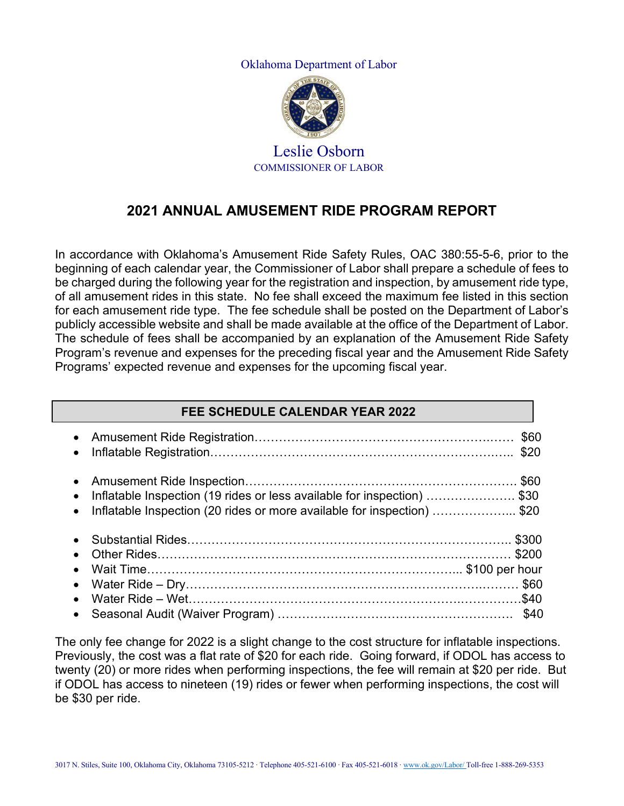Oklahoma Department of Labor



# Leslie Osborn COMMISSIONER OF LABOR

# **2021 ANNUAL AMUSEMENT RIDE PROGRAM REPORT**

In accordance with Oklahoma's Amusement Ride Safety Rules, OAC 380:55-5-6, prior to the beginning of each calendar year, the Commissioner of Labor shall prepare a schedule of fees to be charged during the following year for the registration and inspection, by amusement ride type, of all amusement rides in this state. No fee shall exceed the maximum fee listed in this section for each amusement ride type. The fee schedule shall be posted on the Department of Labor's publicly accessible website and shall be made available at the office of the Department of Labor. The schedule of fees shall be accompanied by an explanation of the Amusement Ride Safety Program's revenue and expenses for the preceding fiscal year and the Amusement Ride Safety Programs' expected revenue and expenses for the upcoming fiscal year.

#### **FEE SCHEDULE CALENDAR YEAR 2022**

|           | • Inflatable Inspection (19 rides or less available for inspection) \$30<br>• Inflatable Inspection (20 rides or more available for inspection) \$20 |  |
|-----------|------------------------------------------------------------------------------------------------------------------------------------------------------|--|
| $\bullet$ |                                                                                                                                                      |  |
| $\bullet$ |                                                                                                                                                      |  |
| $\bullet$ |                                                                                                                                                      |  |
|           |                                                                                                                                                      |  |
| $\bullet$ |                                                                                                                                                      |  |
|           |                                                                                                                                                      |  |

The only fee change for 2022 is a slight change to the cost structure for inflatable inspections. Previously, the cost was a flat rate of \$20 for each ride. Going forward, if ODOL has access to twenty (20) or more rides when performing inspections, the fee will remain at \$20 per ride. But if ODOL has access to nineteen (19) rides or fewer when performing inspections, the cost will be \$30 per ride.